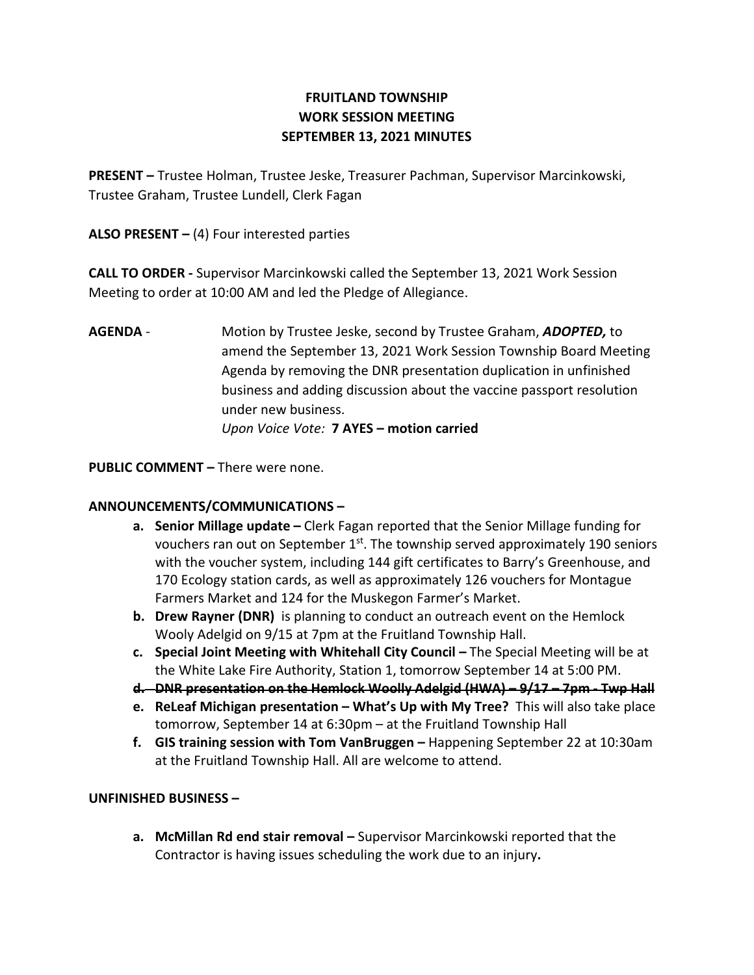# FRUITLAND TOWNSHIP WORK SESSION MEETING SEPTEMBER 13, 2021 MINUTES

PRESENT – Trustee Holman, Trustee Jeske, Treasurer Pachman, Supervisor Marcinkowski, Trustee Graham, Trustee Lundell, Clerk Fagan

ALSO PRESENT  $-$  (4) Four interested parties

CALL TO ORDER - Supervisor Marcinkowski called the September 13, 2021 Work Session Meeting to order at 10:00 AM and led the Pledge of Allegiance.

AGENDA - Motion by Trustee Jeske, second by Trustee Graham, ADOPTED, to amend the September 13, 2021 Work Session Township Board Meeting Agenda by removing the DNR presentation duplication in unfinished business and adding discussion about the vaccine passport resolution under new business. Upon Voice Vote: 7 AYES – motion carried

PUBLIC COMMENT – There were none.

## ANNOUNCEMENTS/COMMUNICATIONS –

- a. Senior Millage update Clerk Fagan reported that the Senior Millage funding for vouchers ran out on September 1<sup>st</sup>. The township served approximately 190 seniors with the voucher system, including 144 gift certificates to Barry's Greenhouse, and 170 Ecology station cards, as well as approximately 126 vouchers for Montague Farmers Market and 124 for the Muskegon Farmer's Market.
- b. Drew Rayner (DNR) is planning to conduct an outreach event on the Hemlock Wooly Adelgid on 9/15 at 7pm at the Fruitland Township Hall.
- c. Special Joint Meeting with Whitehall City Council The Special Meeting will be at the White Lake Fire Authority, Station 1, tomorrow September 14 at 5:00 PM.
- d. DNR presentation on the Hemlock Woolly Adelgid (HWA) 9/17 7pm Twp Hall
- e. ReLeaf Michigan presentation What's Up with My Tree? This will also take place tomorrow, September 14 at 6:30pm – at the Fruitland Township Hall
- f. GIS training session with Tom VanBruggen Happening September 22 at 10:30am at the Fruitland Township Hall. All are welcome to attend.

## UNFINISHED BUSINESS –

a. McMillan Rd end stair removal – Supervisor Marcinkowski reported that the Contractor is having issues scheduling the work due to an injury.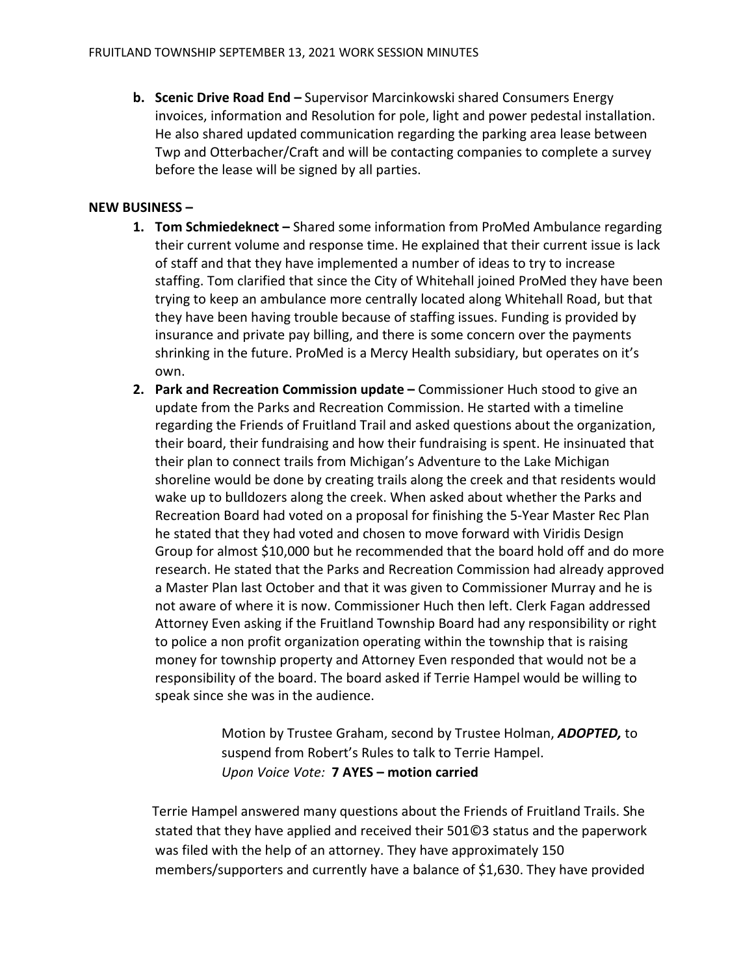b. Scenic Drive Road End – Supervisor Marcinkowski shared Consumers Energy invoices, information and Resolution for pole, light and power pedestal installation. He also shared updated communication regarding the parking area lease between Twp and Otterbacher/Craft and will be contacting companies to complete a survey before the lease will be signed by all parties.

### NEW BUSINESS –

- 1. Tom Schmiedeknect Shared some information from ProMed Ambulance regarding their current volume and response time. He explained that their current issue is lack of staff and that they have implemented a number of ideas to try to increase staffing. Tom clarified that since the City of Whitehall joined ProMed they have been trying to keep an ambulance more centrally located along Whitehall Road, but that they have been having trouble because of staffing issues. Funding is provided by insurance and private pay billing, and there is some concern over the payments shrinking in the future. ProMed is a Mercy Health subsidiary, but operates on it's own.
- 2. Park and Recreation Commission update Commissioner Huch stood to give an update from the Parks and Recreation Commission. He started with a timeline regarding the Friends of Fruitland Trail and asked questions about the organization, their board, their fundraising and how their fundraising is spent. He insinuated that their plan to connect trails from Michigan's Adventure to the Lake Michigan shoreline would be done by creating trails along the creek and that residents would wake up to bulldozers along the creek. When asked about whether the Parks and Recreation Board had voted on a proposal for finishing the 5-Year Master Rec Plan he stated that they had voted and chosen to move forward with Viridis Design Group for almost \$10,000 but he recommended that the board hold off and do more research. He stated that the Parks and Recreation Commission had already approved a Master Plan last October and that it was given to Commissioner Murray and he is not aware of where it is now. Commissioner Huch then left. Clerk Fagan addressed Attorney Even asking if the Fruitland Township Board had any responsibility or right to police a non profit organization operating within the township that is raising money for township property and Attorney Even responded that would not be a responsibility of the board. The board asked if Terrie Hampel would be willing to speak since she was in the audience.

Motion by Trustee Graham, second by Trustee Holman, ADOPTED, to suspend from Robert's Rules to talk to Terrie Hampel. Upon Voice Vote: 7 AYES – motion carried

 Terrie Hampel answered many questions about the Friends of Fruitland Trails. She stated that they have applied and received their 501©3 status and the paperwork was filed with the help of an attorney. They have approximately 150 members/supporters and currently have a balance of \$1,630. They have provided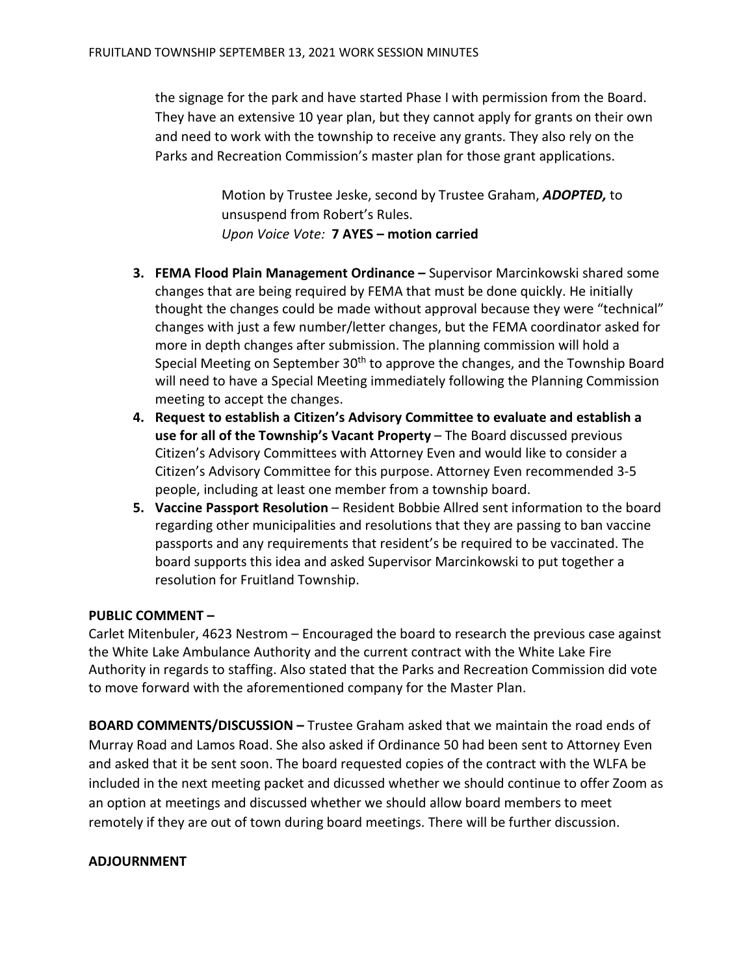the signage for the park and have started Phase I with permission from the Board. They have an extensive 10 year plan, but they cannot apply for grants on their own and need to work with the township to receive any grants. They also rely on the Parks and Recreation Commission's master plan for those grant applications.

> Motion by Trustee Jeske, second by Trustee Graham, ADOPTED, to unsuspend from Robert's Rules. Upon Voice Vote: 7 AYES – motion carried

- 3. FEMA Flood Plain Management Ordinance Supervisor Marcinkowski shared some changes that are being required by FEMA that must be done quickly. He initially thought the changes could be made without approval because they were "technical" changes with just a few number/letter changes, but the FEMA coordinator asked for more in depth changes after submission. The planning commission will hold a Special Meeting on September 30<sup>th</sup> to approve the changes, and the Township Board will need to have a Special Meeting immediately following the Planning Commission meeting to accept the changes.
- 4. Request to establish a Citizen's Advisory Committee to evaluate and establish a use for all of the Township's Vacant Property – The Board discussed previous Citizen's Advisory Committees with Attorney Even and would like to consider a Citizen's Advisory Committee for this purpose. Attorney Even recommended 3-5 people, including at least one member from a township board.
- 5. Vaccine Passport Resolution Resident Bobbie Allred sent information to the board regarding other municipalities and resolutions that they are passing to ban vaccine passports and any requirements that resident's be required to be vaccinated. The board supports this idea and asked Supervisor Marcinkowski to put together a resolution for Fruitland Township.

## PUBLIC COMMENT –

Carlet Mitenbuler, 4623 Nestrom – Encouraged the board to research the previous case against the White Lake Ambulance Authority and the current contract with the White Lake Fire Authority in regards to staffing. Also stated that the Parks and Recreation Commission did vote to move forward with the aforementioned company for the Master Plan.

BOARD COMMENTS/DISCUSSION – Trustee Graham asked that we maintain the road ends of Murray Road and Lamos Road. She also asked if Ordinance 50 had been sent to Attorney Even and asked that it be sent soon. The board requested copies of the contract with the WLFA be included in the next meeting packet and dicussed whether we should continue to offer Zoom as an option at meetings and discussed whether we should allow board members to meet remotely if they are out of town during board meetings. There will be further discussion.

#### ADJOURNMENT